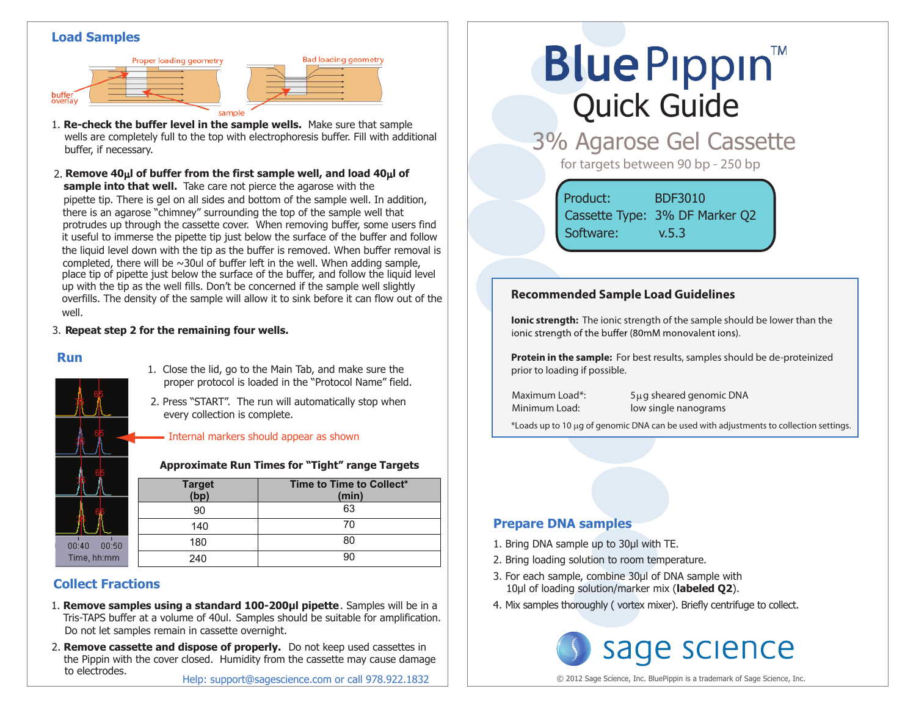## **Load Samples**





**Bad loading geometry** 

**sample into that well.** Take care not pierce the agarose with the pipette tip. There is gel on all sides and bottom of the sample well. In addition, there is an agarose "chimney" surrounding the top of the sample well that protrudes up through the cassette cover. When removing buffer, some users find it useful to immerse the pipette tip just below the surface of the buffer and follow the liquid level down with the tip as the buffer is removed. When buffer removal is completed, there will be  $\sim$ 30ul of buffer left in the well. When adding sample, place tip of pipette just below the surface of the buffer, and follow the liquid level up with the tip as the well fills. Don't be concerned if the sample well slightly overfills. The density of the sample will allow it to sink before it can flow out of the well. 2. **Remove 40**µ**l of buffer from the first sample well, and load 40**µ**l of**

### 3. **Repeat step 2 for the remaining four wells.**

### **Run**



#### 1. Close the lid, go to the Main Tab, and make sure the proper protocol is loaded in the "Protocol Name" field.

2. Press "START". The run will automatically stop when every collection is complete.

### - Internal markers should appear as shown

### **Approximate Run Times for "Tight" range Targets**

|               | <b>Target</b><br>(bp) | Time to Time to Collect*<br>(min) |
|---------------|-----------------------|-----------------------------------|
|               | 90                    | 63                                |
|               | 140                   | 70                                |
| 0:40<br>00:50 | 180                   | 80                                |
| ime, hh:mm    | 240                   | 90                                |

# **Collect Fractions**

- Tris-TAPS buffer at a volume of 40ul. Samples should be suitable for amplification. 1. **Remove samples using a standard 100-200µl pipette**. Samples will be in a Do not let samples remain in cassette overnight.
- 2. **Remove cassette and dispose of properly.** Do not keep used cassettes in the Pippin with the cover closed. Humidity from the cassette may cause damage to electrodes.

# **Blue Pippin** Quick Guide

3% Agarose Gel Cassette

for targets between 90 bp - 250 bp

Product: BDF3010 Cassette Type: 3% DF Marker Q2 Software: v.5.3

## **Recommended Sample Load Guidelines**

**Ionic strength:** The ionic strength of the sample should be lower than the jonic strength of the buffer (80mM monovalent jons).

**Protein in the sample:** For best results, samples should be de-proteinized prior to loading if possible.

Maximum Load\*: 5µg sheared genomic DNA Minimum Load: low single nanograms

\*Loads up to 10 µg of genomic DNA can be used with adjustments to collection settings.

## **Prepare DNA samples**

- 1. Bring DNA sample up to 30μl with TE.
- 2. Bring loading solution to room temperature.
- 3. For each sample, combine 30μl of DNA sample with 10μl of loading solution/marker mix (**labeled Q2**).
- 4. Mix samples thoroughly ( vortex mixer). Briefly centrifuge to collect.



© 2012 Sage Science, Inc. BluePippin is a trademark of Sage Science, Inc.